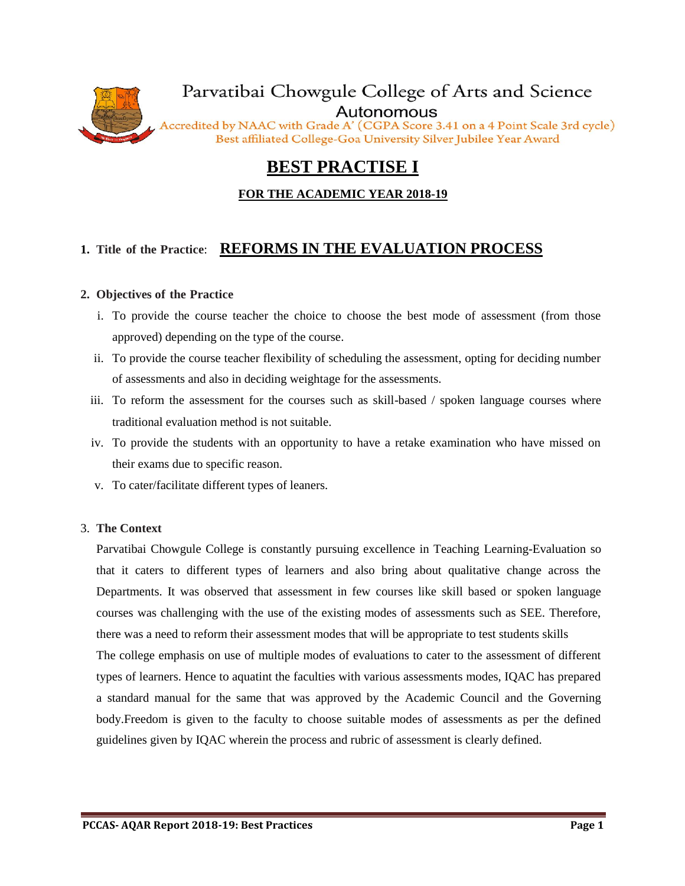

# **BEST PRACTISE I**

### **FOR THE ACADEMIC YEAR 2018-19**

## **1. Title of the Practice**: **REFORMS IN THE EVALUATION PROCESS**

### **2. Objectives of the Practice**

- i. To provide the course teacher the choice to choose the best mode of assessment (from those approved) depending on the type of the course.
- ii. To provide the course teacher flexibility of scheduling the assessment, opting for deciding number of assessments and also in deciding weightage for the assessments.
- iii. To reform the assessment for the courses such as skill-based / spoken language courses where traditional evaluation method is not suitable.
- iv. To provide the students with an opportunity to have a retake examination who have missed on their exams due to specific reason.
- v. To cater/facilitate different types of leaners.

### 3. **The Context**

Parvatibai Chowgule College is constantly pursuing excellence in Teaching Learning-Evaluation so that it caters to different types of learners and also bring about qualitative change across the Departments. It was observed that assessment in few courses like skill based or spoken language courses was challenging with the use of the existing modes of assessments such as SEE. Therefore, there was a need to reform their assessment modes that will be appropriate to test students skills The college emphasis on use of multiple modes of evaluations to cater to the assessment of different types of learners. Hence to aquatint the faculties with various assessments modes, IQAC has prepared a standard manual for the same that was approved by the Academic Council and the Governing

body.Freedom is given to the faculty to choose suitable modes of assessments as per the defined guidelines given by IQAC wherein the process and rubric of assessment is clearly defined.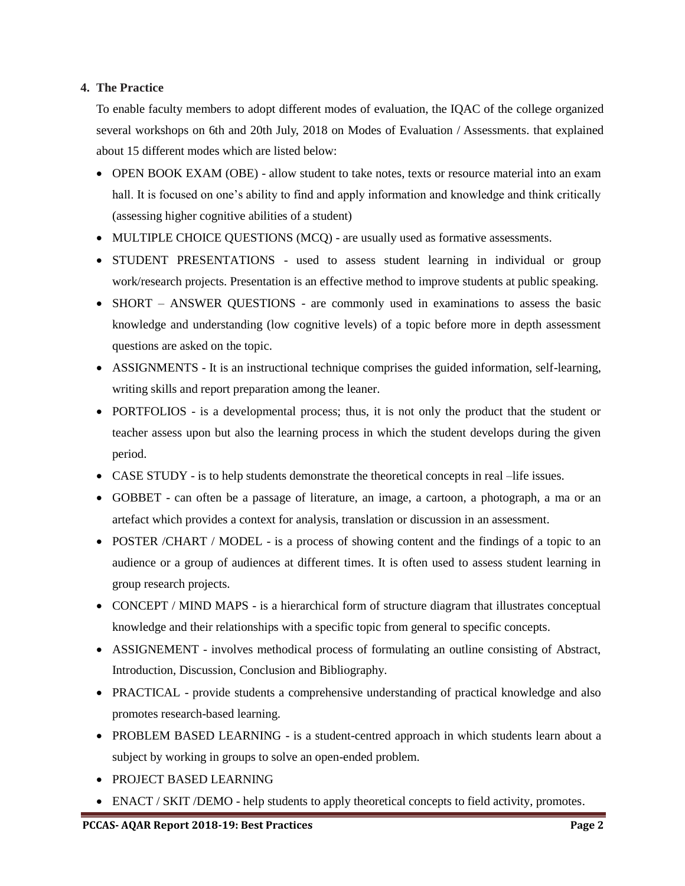### **4. The Practice**

To enable faculty members to adopt different modes of evaluation, the IQAC of the college organized several workshops on 6th and 20th July, 2018 on Modes of Evaluation / Assessments. that explained about 15 different modes which are listed below:

- OPEN BOOK EXAM (OBE) allow student to take notes, texts or resource material into an exam hall. It is focused on one's ability to find and apply information and knowledge and think critically (assessing higher cognitive abilities of a student)
- MULTIPLE CHOICE QUESTIONS (MCQ) are usually used as formative assessments.
- STUDENT PRESENTATIONS used to assess student learning in individual or group work/research projects. Presentation is an effective method to improve students at public speaking.
- SHORT ANSWER QUESTIONS are commonly used in examinations to assess the basic knowledge and understanding (low cognitive levels) of a topic before more in depth assessment questions are asked on the topic.
- ASSIGNMENTS It is an instructional technique comprises the guided information, self-learning, writing skills and report preparation among the leaner.
- PORTFOLIOS is a developmental process; thus, it is not only the product that the student or teacher assess upon but also the learning process in which the student develops during the given period.
- CASE STUDY is to help students demonstrate the theoretical concepts in real –life issues.
- GOBBET can often be a passage of literature, an image, a cartoon, a photograph, a ma or an artefact which provides a context for analysis, translation or discussion in an assessment.
- POSTER /CHART / MODEL is a process of showing content and the findings of a topic to an audience or a group of audiences at different times. It is often used to assess student learning in group research projects.
- CONCEPT / MIND MAPS is a hierarchical form of structure diagram that illustrates conceptual knowledge and their relationships with a specific topic from general to specific concepts.
- ASSIGNEMENT involves methodical process of formulating an outline consisting of Abstract, Introduction, Discussion, Conclusion and Bibliography.
- PRACTICAL provide students a comprehensive understanding of practical knowledge and also promotes research-based learning.
- PROBLEM BASED LEARNING is a student-centred approach in which students learn about a subject by working in groups to solve an open-ended problem.
- PROJECT BASED LEARNING
- ENACT / SKIT / DEMO help students to apply theoretical concepts to field activity, promotes.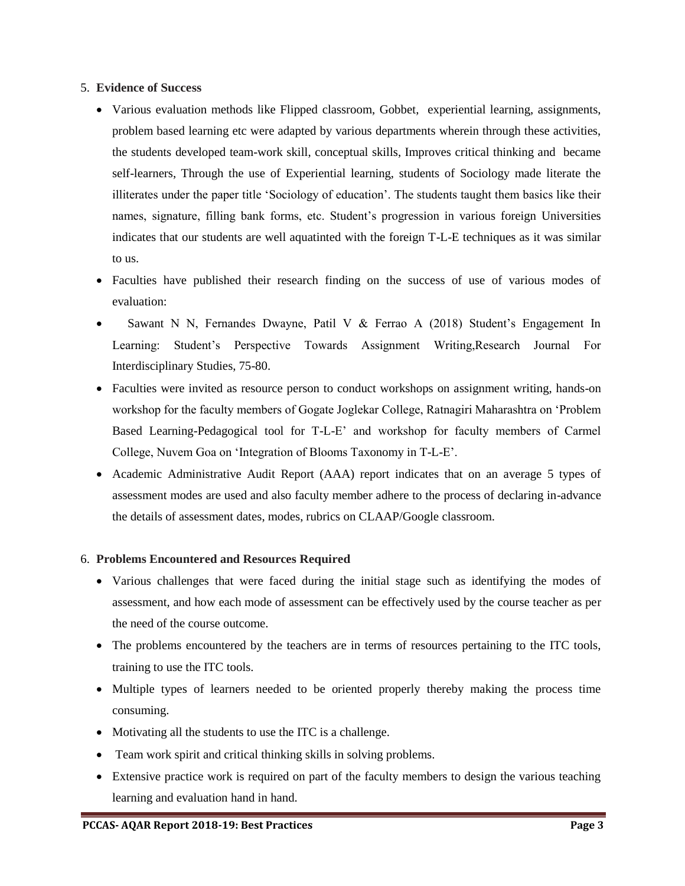### 5. **Evidence of Success**

- Various evaluation methods like Flipped classroom, Gobbet, experiential learning, assignments, problem based learning etc were adapted by various departments wherein through these activities, the students developed team-work skill, conceptual skills, Improves critical thinking and became self-learners, Through the use of Experiential learning, students of Sociology made literate the illiterates under the paper title 'Sociology of education'. The students taught them basics like their names, signature, filling bank forms, etc. Student's progression in various foreign Universities indicates that our students are well aquatinted with the foreign T-L-E techniques as it was similar to us.
- Faculties have published their research finding on the success of use of various modes of evaluation:
- Sawant N N, Fernandes Dwayne, Patil V & Ferrao A (2018) Student's Engagement In Learning: Student's Perspective Towards Assignment Writing,Research Journal For Interdisciplinary Studies, 75-80.
- Faculties were invited as resource person to conduct workshops on assignment writing, hands-on workshop for the faculty members of Gogate Joglekar College, Ratnagiri Maharashtra on 'Problem Based Learning-Pedagogical tool for T-L-E' and workshop for faculty members of Carmel College, Nuvem Goa on 'Integration of Blooms Taxonomy in T-L-E'.
- Academic Administrative Audit Report (AAA) report indicates that on an average 5 types of assessment modes are used and also faculty member adhere to the process of declaring in-advance the details of assessment dates, modes, rubrics on CLAAP/Google classroom.

### 6. **Problems Encountered and Resources Required**

- Various challenges that were faced during the initial stage such as identifying the modes of assessment, and how each mode of assessment can be effectively used by the course teacher as per the need of the course outcome.
- The problems encountered by the teachers are in terms of resources pertaining to the ITC tools, training to use the ITC tools.
- Multiple types of learners needed to be oriented properly thereby making the process time consuming.
- Motivating all the students to use the ITC is a challenge.
- Team work spirit and critical thinking skills in solving problems.
- Extensive practice work is required on part of the faculty members to design the various teaching learning and evaluation hand in hand.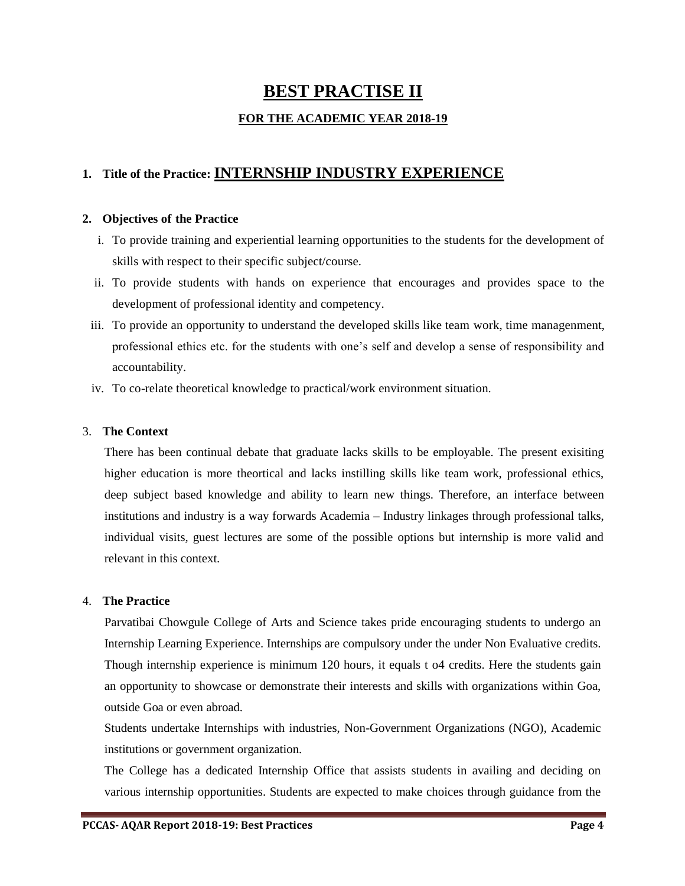## **BEST PRACTISE II**

### **FOR THE ACADEMIC YEAR 2018-19**

## **1. Title of the Practice: INTERNSHIP INDUSTRY EXPERIENCE**

### **2. Objectives of the Practice**

- i. To provide training and experiential learning opportunities to the students for the development of skills with respect to their specific subject/course.
- ii. To provide students with hands on experience that encourages and provides space to the development of professional identity and competency.
- iii. To provide an opportunity to understand the developed skills like team work, time managenment, professional ethics etc. for the students with one's self and develop a sense of responsibility and accountability.
- iv. To co-relate theoretical knowledge to practical/work environment situation.

### 3. **The Context**

There has been continual debate that graduate lacks skills to be employable. The present exisiting higher education is more theortical and lacks instilling skills like team work, professional ethics, deep subject based knowledge and ability to learn new things. Therefore, an interface between institutions and industry is a way forwards Academia – Industry linkages through professional talks, individual visits, guest lectures are some of the possible options but internship is more valid and relevant in this context.

#### 4. **The Practice**

Parvatibai Chowgule College of Arts and Science takes pride encouraging students to undergo an Internship Learning Experience. Internships are compulsory under the under Non Evaluative credits. Though internship experience is minimum 120 hours, it equals t o4 credits. Here the students gain an opportunity to showcase or demonstrate their interests and skills with organizations within Goa, outside Goa or even abroad.

Students undertake Internships with industries, Non-Government Organizations (NGO), Academic institutions or government organization.

The College has a dedicated Internship Office that assists students in availing and deciding on various internship opportunities. Students are expected to make choices through guidance from the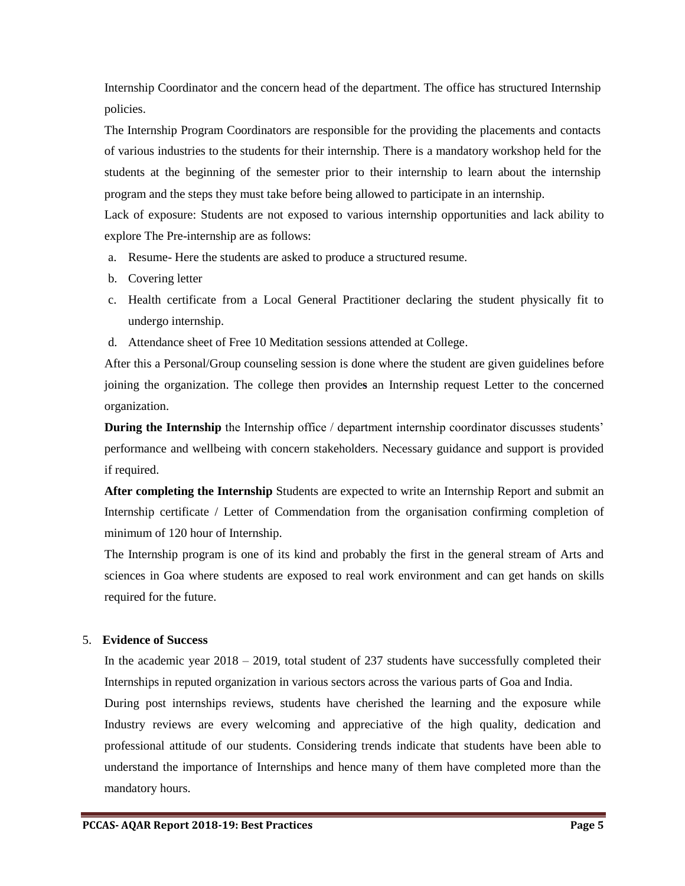Internship Coordinator and the concern head of the department. The office has structured Internship policies.

The Internship Program Coordinators are responsible for the providing the placements and contacts of various industries to the students for their internship. There is a mandatory workshop held for the students at the beginning of the semester prior to their internship to learn about the internship program and the steps they must take before being allowed to participate in an internship.

Lack of exposure: Students are not exposed to various internship opportunities and lack ability to explore The Pre-internship are as follows:

- a. Resume- Here the students are asked to produce a structured resume.
- b. Covering letter
- c. Health certificate from a Local General Practitioner declaring the student physically fit to undergo internship.
- d. Attendance sheet of Free 10 Meditation sessions attended at College.

After this a Personal/Group counseling session is done where the student are given guidelines before joining the organization. The college then provide**s** an Internship request Letter to the concerned organization.

**During the Internship** the Internship office / department internship coordinator discusses students' performance and wellbeing with concern stakeholders. Necessary guidance and support is provided if required.

**After completing the Internship** Students are expected to write an Internship Report and submit an Internship certificate / Letter of Commendation from the organisation confirming completion of minimum of 120 hour of Internship.

The Internship program is one of its kind and probably the first in the general stream of Arts and sciences in Goa where students are exposed to real work environment and can get hands on skills required for the future.

### 5. **Evidence of Success**

In the academic year 2018 – 2019, total student of 237 students have successfully completed their Internships in reputed organization in various sectors across the various parts of Goa and India.

During post internships reviews, students have cherished the learning and the exposure while Industry reviews are every welcoming and appreciative of the high quality, dedication and professional attitude of our students. Considering trends indicate that students have been able to understand the importance of Internships and hence many of them have completed more than the mandatory hours.